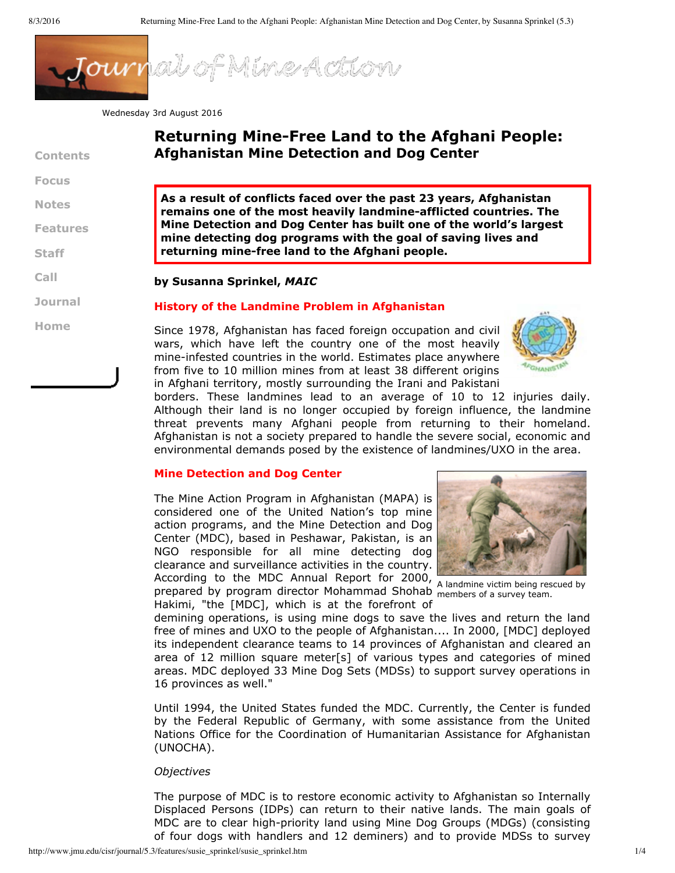

Wednesday 3rd August 2016

| <b>Contents</b> | <b>Returning Mine-Free Land to the Afghani People:</b><br><b>Afghanistan Mine Detection and Dog Center</b>                                                                                                                                                        |  |  |  |  |
|-----------------|-------------------------------------------------------------------------------------------------------------------------------------------------------------------------------------------------------------------------------------------------------------------|--|--|--|--|
| <b>Focus</b>    |                                                                                                                                                                                                                                                                   |  |  |  |  |
| <b>Notes</b>    | As a result of conflicts faced over the past 23 years, Afghanistan<br>remains one of the most heavily landmine-afflicted countries. The                                                                                                                           |  |  |  |  |
| <b>Features</b> | Mine Detection and Dog Center has built one of the world's largest<br>mine detecting dog programs with the goal of saving lives and                                                                                                                               |  |  |  |  |
| <b>Staff</b>    | returning mine-free land to the Afghani people.                                                                                                                                                                                                                   |  |  |  |  |
| Call            | by Susanna Sprinkel, MAIC                                                                                                                                                                                                                                         |  |  |  |  |
| <b>Journal</b>  | <b>History of the Landmine Problem in Afghanistan</b>                                                                                                                                                                                                             |  |  |  |  |
| Home            | Since 1978, Afghanistan has faced foreign occupation and civil<br>wars, which have left the country one of the most heavily<br>mine-infested countries in the world. Estimates place anywhere<br>from five to 10 million mines from at least 38 different origins |  |  |  |  |

in Afghani territory, mostly surrounding the Irani and Pakistani borders. These landmines lead to an average of 10 to 12 injuries daily. Although their land is no longer occupied by foreign influence, the landmine threat prevents many Afghani people from returning to their homeland. Afghanistan is not a society prepared to handle the severe social, economic and environmental demands posed by the existence of landmines/UXO in the area.

#### **Mine Detection and Dog Center**

According to the MDC Annual Report for 2000, A landmine victim being rescued by The Mine Action Program in Afghanistan (MAPA) is considered one of the United Nation's top mine action programs, and the Mine Detection and Dog Center (MDC), based in Peshawar, Pakistan, is an NGO responsible for all mine detecting dog clearance and surveillance activities in the country.



prepared by program director Mohammad Shohab members of a survey team. Hakimi, "the [MDC], which is at the forefront of

demining operations, is using mine dogs to save the lives and return the land free of mines and UXO to the people of Afghanistan.... In 2000, [MDC] deployed its independent clearance teams to 14 provinces of Afghanistan and cleared an area of 12 million square meter[s] of various types and categories of mined areas. MDC deployed 33 Mine Dog Sets (MDSs) to support survey operations in 16 provinces as well."

Until 1994, the United States funded the MDC. Currently, the Center is funded by the Federal Republic of Germany, with some assistance from the United Nations Office for the Coordination of Humanitarian Assistance for Afghanistan (UNOCHA).

#### *Objectives*

The purpose of MDC is to restore economic activity to Afghanistan so Internally Displaced Persons (IDPs) can return to their native lands. The main goals of MDC are to clear high-priority land using Mine Dog Groups (MDGs) (consisting of four dogs with handlers and 12 deminers) and to provide MDSs to survey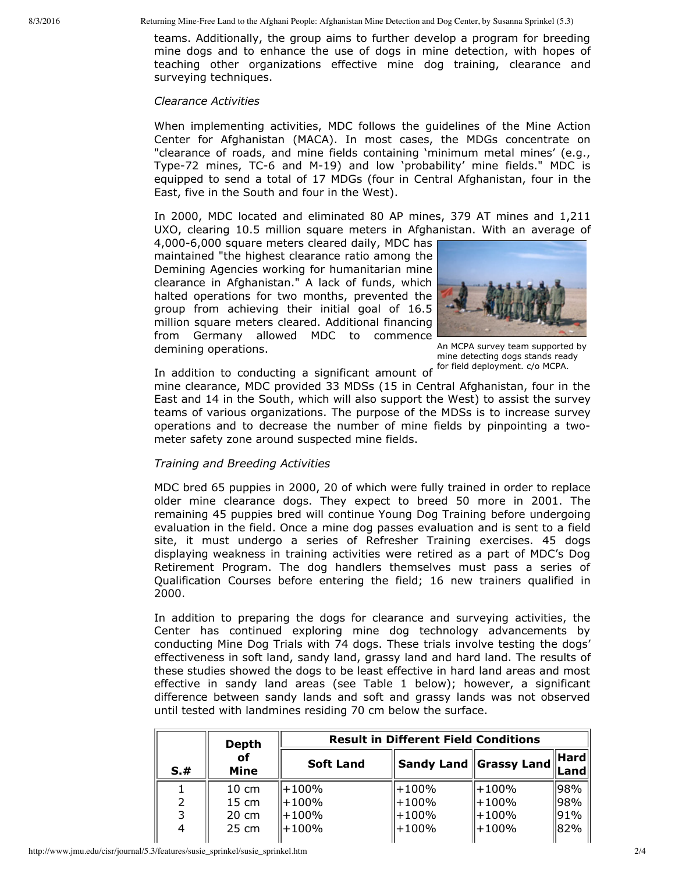teams. Additionally, the group aims to further develop a program for breeding mine dogs and to enhance the use of dogs in mine detection, with hopes of teaching other organizations effective mine dog training, clearance and surveying techniques.

#### *Clearance Activities*

When implementing activities, MDC follows the guidelines of the Mine Action Center for Afghanistan (MACA). In most cases, the MDGs concentrate on "clearance of roads, and mine fields containing 'minimum metal mines' (e.g., Type-72 mines, TC-6 and M-19) and low 'probability' mine fields." MDC is equipped to send a total of 17 MDGs (four in Central Afghanistan, four in the East, five in the South and four in the West).

In 2000, MDC located and eliminated 80 AP mines, 379 AT mines and 1,211 UXO, clearing 10.5 million square meters in Afghanistan. With an average of

4,000-6,000 square meters cleared daily, MDC has maintained "the highest clearance ratio among the Demining Agencies working for humanitarian mine clearance in Afghanistan." A lack of funds, which halted operations for two months, prevented the group from achieving their initial goal of 16.5 million square meters cleared. Additional financing from Germany allowed MDC to commence demining operations.



An MCPA survey team supported by mine detecting dogs stands ready

In addition to conducting a significant amount of <sup>for field deployment. c/o MCPA.</sup>

mine clearance, MDC provided 33 MDSs (15 in Central Afghanistan, four in the East and 14 in the South, which will also support the West) to assist the survey teams of various organizations. The purpose of the MDSs is to increase survey operations and to decrease the number of mine fields by pinpointing a twometer safety zone around suspected mine fields.

### *Training and Breeding Activities*

MDC bred 65 puppies in 2000, 20 of which were fully trained in order to replace older mine clearance dogs. They expect to breed 50 more in 2001. The remaining 45 puppies bred will continue Young Dog Training before undergoing evaluation in the field. Once a mine dog passes evaluation and is sent to a field site, it must undergo a series of Refresher Training exercises. 45 dogs displaying weakness in training activities were retired as a part of MDC's Dog Retirement Program. The dog handlers themselves must pass a series of Qualification Courses before entering the field; 16 new trainers qualified in 2000.

In addition to preparing the dogs for clearance and surveying activities, the Center has continued exploring mine dog technology advancements by conducting Mine Dog Trials with 74 dogs. These trials involve testing the dogs' effectiveness in soft land, sandy land, grassy land and hard land. The results of these studies showed the dogs to be least effective in hard land areas and most effective in sandy land areas (see Table 1 below); however, a significant difference between sandy lands and soft and grassy lands was not observed until tested with landmines residing 70 cm below the surface.

|     | <b>Result in Different Field Conditions</b><br><b>Depth</b> |                  |           |                                                     |                                     |  |  |
|-----|-------------------------------------------------------------|------------------|-----------|-----------------------------------------------------|-------------------------------------|--|--|
| S.# | οf<br>Mine                                                  | <b>Soft Land</b> |           | $\mid$ Sandy Land $\mid\mid$ Grassy Land $\mid\mid$ | $\ $ Hard $\ $<br>$ \mathsf{Land} $ |  |  |
|     | $10 \text{ cm}$                                             | l+100%           | $+100%$   | $ +100\%$                                           | $ 98\% $                            |  |  |
|     | $15 \text{ cm}$                                             | l+100%           | $ +100\%$ | H+100%                                              | 98%                                 |  |  |
|     | $20 \text{ cm}$                                             | l+100%           | $+100%$   | H+100%                                              | 91%                                 |  |  |
|     | $25 \text{ cm}$                                             | +100%            | $ +100\%$ | $ +100\%$                                           | 82%                                 |  |  |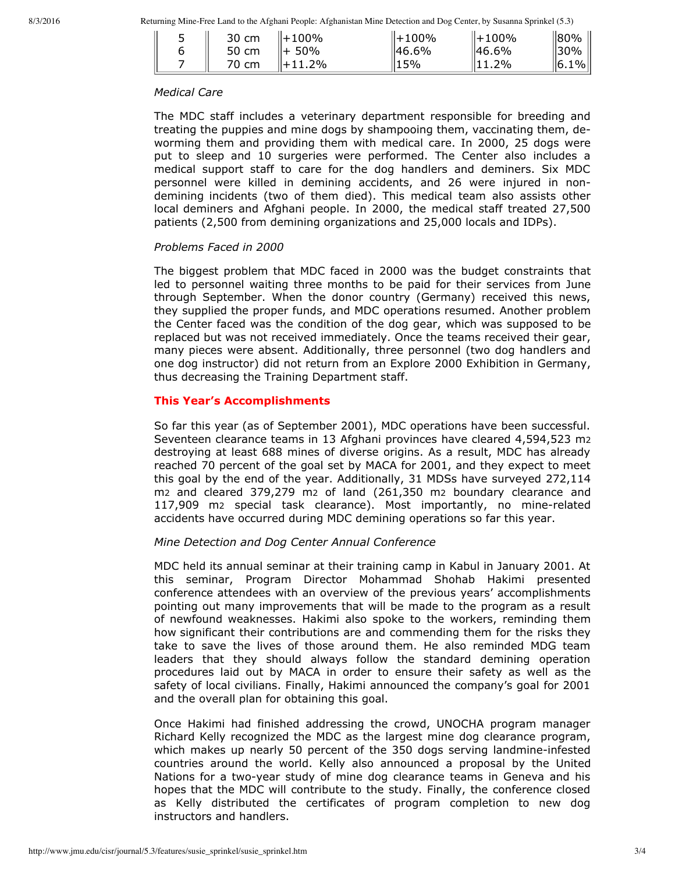8/3/2016 Returning Mine-Free Land to the Afghani People: Afghanistan Mine Detection and Dog Center, by Susanna Sprinkel (5.3)

| - | 30 cm | $\ +100\%$ | $  +100\%$ | $  +100\%$ | 180%         |
|---|-------|------------|------------|------------|--------------|
|   | 50 cm | 50%<br>╙┿  | 46.6%      | ∥46.6%     | ll30%        |
|   | 70 cm | $+11.2%$   | 15%        | .2%        | $\ 6.1\% \ $ |

### *Medical Care*

The MDC staff includes a veterinary department responsible for breeding and treating the puppies and mine dogs by shampooing them, vaccinating them, deworming them and providing them with medical care. In 2000, 25 dogs were put to sleep and 10 surgeries were performed. The Center also includes a medical support staff to care for the dog handlers and deminers. Six MDC personnel were killed in demining accidents, and 26 were injured in nondemining incidents (two of them died). This medical team also assists other local deminers and Afghani people. In 2000, the medical staff treated 27,500 patients (2,500 from demining organizations and 25,000 locals and IDPs).

### *Problems Faced in 2000*

The biggest problem that MDC faced in 2000 was the budget constraints that led to personnel waiting three months to be paid for their services from June through September. When the donor country (Germany) received this news, they supplied the proper funds, and MDC operations resumed. Another problem the Center faced was the condition of the dog gear, which was supposed to be replaced but was not received immediately. Once the teams received their gear, many pieces were absent. Additionally, three personnel (two dog handlers and one dog instructor) did not return from an Explore 2000 Exhibition in Germany, thus decreasing the Training Department staff.

# **This Year's Accomplishments**

So far this year (as of September 2001), MDC operations have been successful. Seventeen clearance teams in 13 Afghani provinces have cleared 4,594,523 m2 destroying at least 688 mines of diverse origins. As a result, MDC has already reached 70 percent of the goal set by MACA for 2001, and they expect to meet this goal by the end of the year. Additionally, 31 MDSs have surveyed 272,114 m2 and cleared 379,279 m2 of land (261,350 m2 boundary clearance and 117,909 m2 special task clearance). Most importantly, no mine-related accidents have occurred during MDC demining operations so far this year.

# *Mine Detection and Dog Center Annual Conference*

MDC held its annual seminar at their training camp in Kabul in January 2001. At this seminar, Program Director Mohammad Shohab Hakimi presented conference attendees with an overview of the previous years' accomplishments pointing out many improvements that will be made to the program as a result of newfound weaknesses. Hakimi also spoke to the workers, reminding them how significant their contributions are and commending them for the risks they take to save the lives of those around them. He also reminded MDG team leaders that they should always follow the standard demining operation procedures laid out by MACA in order to ensure their safety as well as the safety of local civilians. Finally, Hakimi announced the company's goal for 2001 and the overall plan for obtaining this goal.

Once Hakimi had finished addressing the crowd, UNOCHA program manager Richard Kelly recognized the MDC as the largest mine dog clearance program, which makes up nearly 50 percent of the 350 dogs serving landmine-infested countries around the world. Kelly also announced a proposal by the United Nations for a two-year study of mine dog clearance teams in Geneva and his hopes that the MDC will contribute to the study. Finally, the conference closed as Kelly distributed the certificates of program completion to new dog instructors and handlers.